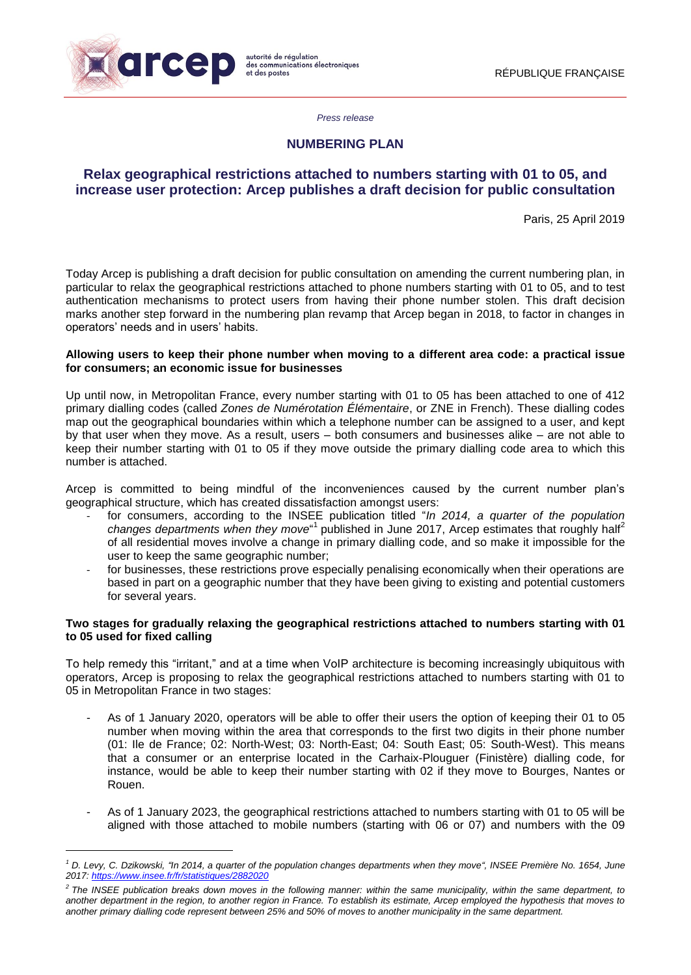

**.** 

#### *Press release*

## **NUMBERING PLAN**

# **Relax geographical restrictions attached to numbers starting with 01 to 05, and increase user protection: Arcep publishes a draft decision for public consultation**

Paris, 25 April 2019

Today Arcep is publishing a draft decision for public consultation on amending the current numbering plan, in particular to relax the geographical restrictions attached to phone numbers starting with 01 to 05, and to test authentication mechanisms to protect users from having their phone number stolen. This draft decision marks another step forward in the numbering plan revamp that Arcep began in 2018, to factor in changes in operators' needs and in users' habits.

## **Allowing users to keep their phone number when moving to a different area code: a practical issue for consumers; an economic issue for businesses**

Up until now, in Metropolitan France, every number starting with 01 to 05 has been attached to one of 412 primary dialling codes (called *Zones de Numérotation Élémentaire*, or ZNE in French). These dialling codes map out the geographical boundaries within which a telephone number can be assigned to a user, and kept by that user when they move. As a result, users – both consumers and businesses alike – are not able to keep their number starting with 01 to 05 if they move outside the primary dialling code area to which this number is attached.

Arcep is committed to being mindful of the inconveniences caused by the current number plan's geographical structure, which has created dissatisfaction amongst users:

- for consumers, according to the INSEE publication titled "*In 2014, a quarter of the population* changes departments when they move<sup>"1</sup> published in June 2017, Arcep estimates that roughly half<sup>2</sup> of all residential moves involve a change in primary dialling code, and so make it impossible for the user to keep the same geographic number;
- for businesses, these restrictions prove especially penalising economically when their operations are based in part on a geographic number that they have been giving to existing and potential customers for several years.

#### **Two stages for gradually relaxing the geographical restrictions attached to numbers starting with 01 to 05 used for fixed calling**

To help remedy this "irritant," and at a time when VoIP architecture is becoming increasingly ubiquitous with operators, Arcep is proposing to relax the geographical restrictions attached to numbers starting with 01 to 05 in Metropolitan France in two stages:

- As of 1 January 2020, operators will be able to offer their users the option of keeping their 01 to 05 number when moving within the area that corresponds to the first two digits in their phone number (01: Ile de France; 02: North-West; 03: North-East; 04: South East; 05: South-West). This means that a consumer or an enterprise located in the Carhaix-Plouguer (Finistère) dialling code, for instance, would be able to keep their number starting with 02 if they move to Bourges, Nantes or Rouen.
- As of 1 January 2023, the geographical restrictions attached to numbers starting with 01 to 05 will be aligned with those attached to mobile numbers (starting with 06 or 07) and numbers with the 09

*<sup>1</sup> D. Levy, C. Dzikowski, "In 2014, a quarter of the population changes departments when they move", INSEE Première No. 1654, June 2017: <https://www.insee.fr/fr/statistiques/2882020>*

*<sup>2</sup> The INSEE publication breaks down moves in the following manner: within the same municipality, within the same department, to another department in the region, to another region in France. To establish its estimate, Arcep employed the hypothesis that moves to another primary dialling code represent between 25% and 50% of moves to another municipality in the same department.*